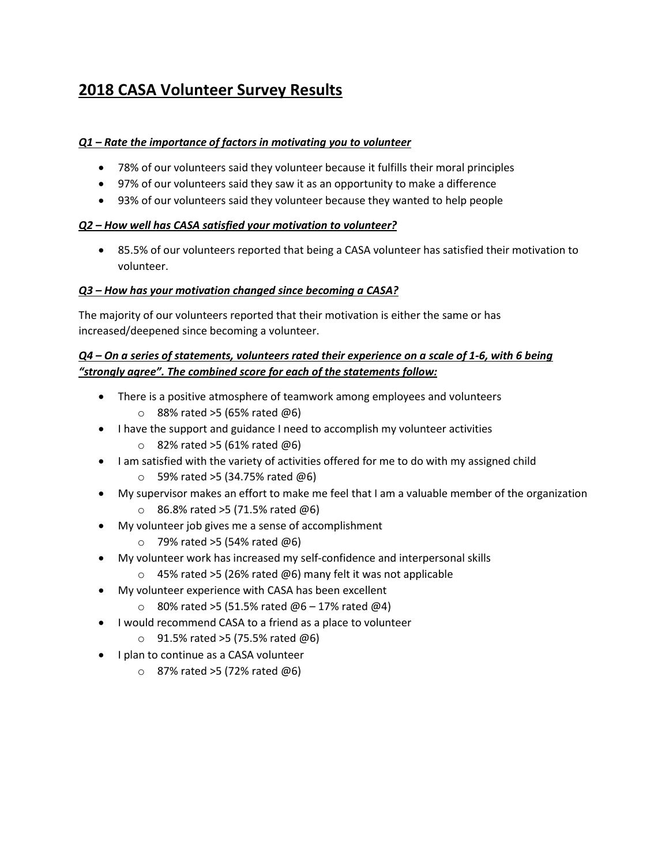# **2018 CASA Volunteer Survey Results**

## *Q1 – Rate the importance of factors in motivating you to volunteer*

- 78% of our volunteers said they volunteer because it fulfills their moral principles
- 97% of our volunteers said they saw it as an opportunity to make a difference
- 93% of our volunteers said they volunteer because they wanted to help people

### *Q2 – How well has CASA satisfied your motivation to volunteer?*

 85.5% of our volunteers reported that being a CASA volunteer has satisfied their motivation to volunteer.

## *Q3 – How has your motivation changed since becoming a CASA?*

The majority of our volunteers reported that their motivation is either the same or has increased/deepened since becoming a volunteer.

## *Q4 – On a series of statements, volunteers rated their experience on a scale of 1-6, with 6 being "strongly agree". The combined score for each of the statements follow:*

- There is a positive atmosphere of teamwork among employees and volunteers  $\circ$  88% rated >5 (65% rated @6)
- I have the support and guidance I need to accomplish my volunteer activities
	- $\circ$  82% rated >5 (61% rated @6)
- I am satisfied with the variety of activities offered for me to do with my assigned child
	- $\circ$  59% rated >5 (34.75% rated @6)
- My supervisor makes an effort to make me feel that I am a valuable member of the organization
	- $\circ$  86.8% rated >5 (71.5% rated @6)
- My volunteer job gives me a sense of accomplishment
	- $\circ$  79% rated >5 (54% rated @6)
- My volunteer work has increased my self-confidence and interpersonal skills
	- $\circ$  45% rated >5 (26% rated @6) many felt it was not applicable
- My volunteer experience with CASA has been excellent
	- $\circ$  80% rated >5 (51.5% rated @6 17% rated @4)
- I would recommend CASA to a friend as a place to volunteer
	- $\circ$  91.5% rated >5 (75.5% rated  $\omega$ 6)
- I plan to continue as a CASA volunteer
	- $\circ$  87% rated >5 (72% rated @6)